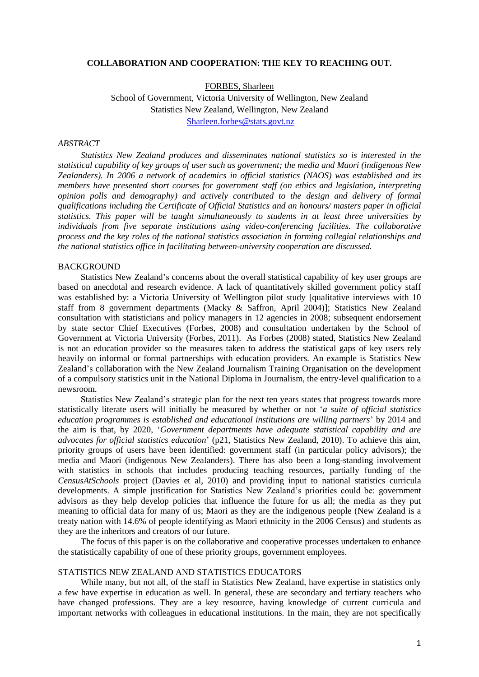#### **COLLABORATION AND COOPERATION: THE KEY TO REACHING OUT.**

FORBES, Sharleen School of Government, Victoria University of Wellington, New Zealand Statistics New Zealand, Wellington, New Zealand

[Sharleen.forbes@stats.govt.nz](mailto:Sharleen.forbes@stats.govt.nz)

#### *ABSTRACT*

*Statistics New Zealand produces and disseminates national statistics so is interested in the statistical capability of key groups of user such as government; the media and Maori (indigenous New Zealanders). In 2006 a network of academics in official statistics (NAOS) was established and its members have presented short courses for government staff (on ethics and legislation, interpreting opinion polls and demography) and actively contributed to the design and delivery of formal qualifications including the Certificate of Official Statistics and an honours/ masters paper in official statistics. This paper will be taught simultaneously to students in at least three universities by individuals from five separate institutions using video-conferencing facilities. The collaborative process and the key roles of the national statistics association in forming collegial relationships and the national statistics office in facilitating between-university cooperation are discussed.* 

#### BACKGROUND

Statistics New Zealand"s concerns about the overall statistical capability of key user groups are based on anecdotal and research evidence. A lack of quantitatively skilled government policy staff was established by: a Victoria University of Wellington pilot study [qualitative interviews with 10 staff from 8 government departments (Macky & Saffron, April 2004)]; Statistics New Zealand consultation with statisticians and policy managers in 12 agencies in 2008; subsequent endorsement by state sector Chief Executives (Forbes, 2008) and consultation undertaken by the School of Government at Victoria University (Forbes, 2011). As Forbes (2008) stated, Statistics New Zealand is not an education provider so the measures taken to address the statistical gaps of key users rely heavily on informal or formal partnerships with education providers. An example is Statistics New Zealand"s collaboration with the New Zealand Journalism Training Organisation on the development of a compulsory statistics unit in the National Diploma in Journalism, the entry-level qualification to a newsroom.

Statistics New Zealand"s strategic plan for the next ten years states that progress towards more statistically literate users will initially be measured by whether or not "*a suite of official statistics education programmes is established and educational institutions are willing partners*" by 2014 and the aim is that, by 2020, "*Government departments have adequate statistical capability and are advocates for official statistics education*" (p21, Statistics New Zealand, 2010). To achieve this aim, priority groups of users have been identified: government staff (in particular policy advisors); the media and Maori (indigenous New Zealanders). There has also been a long-standing involvement with statistics in schools that includes producing teaching resources, partially funding of the *CensusAtSchools* project (Davies et al, 2010) and providing input to national statistics curricula developments. A simple justification for Statistics New Zealand"s priorities could be: government advisors as they help develop policies that influence the future for us all; the media as they put meaning to official data for many of us; Maori as they are the indigenous people (New Zealand is a treaty nation with 14.6% of people identifying as Maori ethnicity in the 2006 Census) and students as they are the inheritors and creators of our future.

The focus of this paper is on the collaborative and cooperative processes undertaken to enhance the statistically capability of one of these priority groups, government employees.

## STATISTICS NEW ZEALAND AND STATISTICS EDUCATORS

While many, but not all, of the staff in Statistics New Zealand, have expertise in statistics only a few have expertise in education as well. In general, these are secondary and tertiary teachers who have changed professions. They are a key resource, having knowledge of current curricula and important networks with colleagues in educational institutions. In the main, they are not specifically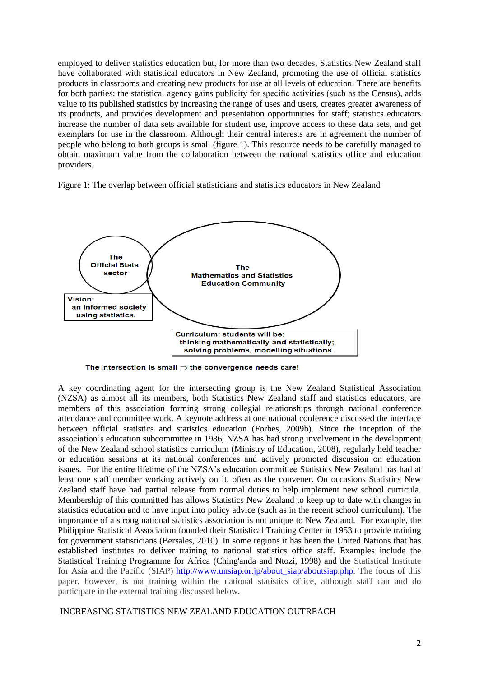employed to deliver statistics education but, for more than two decades, Statistics New Zealand staff have collaborated with statistical educators in New Zealand, promoting the use of official statistics products in classrooms and creating new products for use at all levels of education. There are benefits for both parties: the statistical agency gains publicity for specific activities (such as the Census), adds value to its published statistics by increasing the range of uses and users, creates greater awareness of its products, and provides development and presentation opportunities for staff; statistics educators increase the number of data sets available for student use, improve access to these data sets, and get exemplars for use in the classroom. Although their central interests are in agreement the number of people who belong to both groups is small (figure 1). This resource needs to be carefully managed to obtain maximum value from the collaboration between the national statistics office and education providers.

Figure 1: The overlap between official statisticians and statistics educators in New Zealand



The intersection is small  $\Rightarrow$  the convergence needs care!

A key coordinating agent for the intersecting group is the New Zealand Statistical Association (NZSA) as almost all its members, both Statistics New Zealand staff and statistics educators, are members of this association forming strong collegial relationships through national conference attendance and committee work. A keynote address at one national conference discussed the interface between official statistics and statistics education (Forbes, 2009b). Since the inception of the association"s education subcommittee in 1986, NZSA has had strong involvement in the development of the New Zealand school statistics curriculum (Ministry of Education, 2008), regularly held teacher or education sessions at its national conferences and actively promoted discussion on education issues. For the entire lifetime of the NZSA"s education committee Statistics New Zealand has had at least one staff member working actively on it, often as the convener. On occasions Statistics New Zealand staff have had partial release from normal duties to help implement new school curricula. Membership of this committed has allows Statistics New Zealand to keep up to date with changes in statistics education and to have input into policy advice (such as in the recent school curriculum). The importance of a strong national statistics association is not unique to New Zealand. For example, the Philippine Statistical Association founded their Statistical Training Center in 1953 to provide training for government statisticians (Bersales, 2010). In some regions it has been the United Nations that has established institutes to deliver training to national statistics office staff. Examples include the Statistical Training Programme for Africa (Ching'anda and Ntozi, 1998) and the Statistical Institute for Asia and the Pacific (SIAP) [http://www.unsiap.or.jp/about\\_siap/aboutsiap.php.](http://www.unsiap.or.jp/about_siap/aboutsiap.php) The focus of this paper, however, is not training within the national statistics office, although staff can and do participate in the external training discussed below.

## INCREASING STATISTICS NEW ZEALAND EDUCATION OUTREACH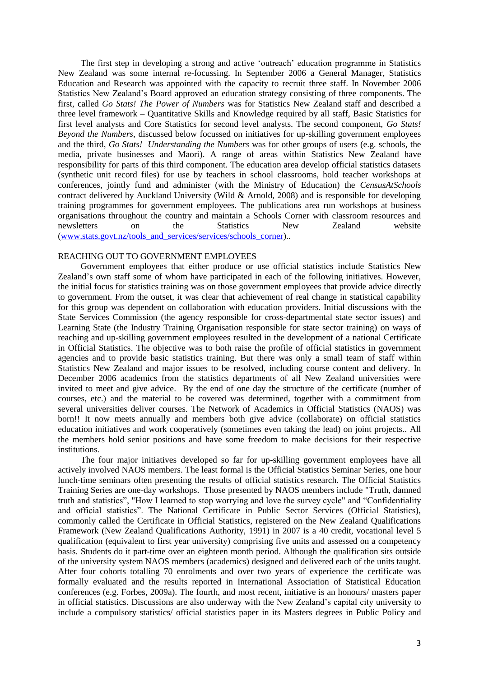The first step in developing a strong and active "outreach" education programme in Statistics New Zealand was some internal re-focussing. In September 2006 a General Manager, Statistics Education and Research was appointed with the capacity to recruit three staff. In November 2006 Statistics New Zealand"s Board approved an education strategy consisting of three components. The first, called *Go Stats! The Power of Numbers* was for Statistics New Zealand staff and described a three level framework – Quantitative Skills and Knowledge required by all staff, Basic Statistics for first level analysts and Core Statistics for second level analysts. The second component, *Go Stats! Beyond the Numbers,* discussed below focussed on initiatives for up-skilling government employees and the third, *Go Stats! Understanding the Numbers* was for other groups of users (e.g. schools, the media, private businesses and Maori). A range of areas within Statistics New Zealand have responsibility for parts of this third component. The education area develop official statistics datasets (synthetic unit record files) for use by teachers in school classrooms, hold teacher workshops at conferences, jointly fund and administer (with the Ministry of Education) the *CensusAtSchools* contract delivered by Auckland University (Wild & Arnold, 2008) and is responsible for developing training programmes for government employees. The publications area run workshops at business organisations throughout the country and maintain a Schools Corner with classroom resources and newsletters on the Statistics New Zealand website [\(www.stats.govt.nz/tools\\_and\\_services/services/schools\\_corner\)](http://www.stats.govt.nz/tools_and_services/services/schools_corner)..

### REACHING OUT TO GOVERNMENT EMPLOYEES

Government employees that either produce or use official statistics include Statistics New Zealand"s own staff some of whom have participated in each of the following initiatives. However, the initial focus for statistics training was on those government employees that provide advice directly to government. From the outset, it was clear that achievement of real change in statistical capability for this group was dependent on collaboration with education providers. Initial discussions with the State Services Commission (the agency responsible for cross-departmental state sector issues) and Learning State (the Industry Training Organisation responsible for state sector training) on ways of reaching and up-skilling government employees resulted in the development of a national Certificate in Official Statistics. The objective was to both raise the profile of official statistics in government agencies and to provide basic statistics training. But there was only a small team of staff within Statistics New Zealand and major issues to be resolved, including course content and delivery. In December 2006 academics from the statistics departments of all New Zealand universities were invited to meet and give advice. By the end of one day the structure of the certificate (number of courses, etc.) and the material to be covered was determined, together with a commitment from several universities deliver courses. The Network of Academics in Official Statistics (NAOS) was born!! It now meets annually and members both give advice (collaborate) on official statistics education initiatives and work cooperatively (sometimes even taking the lead) on joint projects.. All the members hold senior positions and have some freedom to make decisions for their respective institutions.

The four major initiatives developed so far for up-skilling government employees have all actively involved NAOS members. The least formal is the Official Statistics Seminar Series, one hour lunch-time seminars often presenting the results of official statistics research. The Official Statistics Training Series are one-day workshops. Those presented by NAOS members include "Truth, damned truth and statistics", "How I learned to stop worrying and love the survey cycle" and "Confidentiality and official statistics". The National Certificate in Public Sector Services (Official Statistics), commonly called the Certificate in Official Statistics, registered on the New Zealand Qualifications Framework (New Zealand Qualifications Authority, 1991) in 2007 is a 40 credit, vocational level 5 qualification (equivalent to first year university) comprising five units and assessed on a competency basis. Students do it part-time over an eighteen month period. Although the qualification sits outside of the university system NAOS members (academics) designed and delivered each of the units taught. After four cohorts totalling 70 enrolments and over two years of experience the certificate was formally evaluated and the results reported in International Association of Statistical Education conferences (e.g. Forbes, 2009a). The fourth, and most recent, initiative is an honours/ masters paper in official statistics. Discussions are also underway with the New Zealand"s capital city university to include a compulsory statistics/ official statistics paper in its Masters degrees in Public Policy and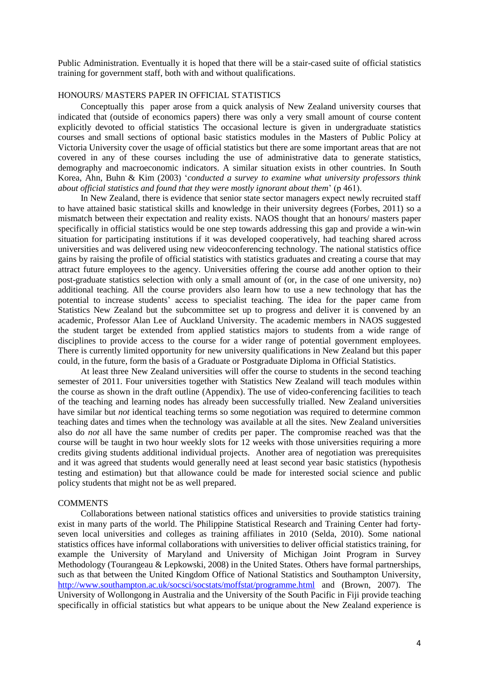Public Administration. Eventually it is hoped that there will be a stair-cased suite of official statistics training for government staff, both with and without qualifications.

## HONOURS/ MASTERS PAPER IN OFFICIAL STATISTICS

Conceptually this paper arose from a quick analysis of New Zealand university courses that indicated that (outside of economics papers) there was only a very small amount of course content explicitly devoted to official statistics The occasional lecture is given in undergraduate statistics courses and small sections of optional basic statistics modules in the Masters of Public Policy at Victoria University cover the usage of official statistics but there are some important areas that are not covered in any of these courses including the use of administrative data to generate statistics, demography and macroeconomic indicators. A similar situation exists in other countries. In South Korea, Ahn, Buhn & Kim (2003) "*conducted a survey to examine what university professors think about official statistics and found that they were mostly ignorant about them*" (p 461).

In New Zealand, there is evidence that senior state sector managers expect newly recruited staff to have attained basic statistical skills and knowledge in their university degrees (Forbes, 2011) so a mismatch between their expectation and reality exists. NAOS thought that an honours/ masters paper specifically in official statistics would be one step towards addressing this gap and provide a win-win situation for participating institutions if it was developed cooperatively, had teaching shared across universities and was delivered using new videoconferencing technology. The national statistics office gains by raising the profile of official statistics with statistics graduates and creating a course that may attract future employees to the agency. Universities offering the course add another option to their post-graduate statistics selection with only a small amount of (or, in the case of one university, no) additional teaching. All the course providers also learn how to use a new technology that has the potential to increase students" access to specialist teaching. The idea for the paper came from Statistics New Zealand but the subcommittee set up to progress and deliver it is convened by an academic, Professor Alan Lee of Auckland University. The academic members in NAOS suggested the student target be extended from applied statistics majors to students from a wide range of disciplines to provide access to the course for a wider range of potential government employees. There is currently limited opportunity for new university qualifications in New Zealand but this paper could, in the future, form the basis of a Graduate or Postgraduate Diploma in Official Statistics.

At least three New Zealand universities will offer the course to students in the second teaching semester of 2011. Four universities together with Statistics New Zealand will teach modules within the course as shown in the draft outline (Appendix). The use of video-conferencing facilities to teach of the teaching and learning nodes has already been successfully trialled. New Zealand universities have similar but *not* identical teaching terms so some negotiation was required to determine common teaching dates and times when the technology was available at all the sites. New Zealand universities also do *not* all have the same number of credits per paper. The compromise reached was that the course will be taught in two hour weekly slots for 12 weeks with those universities requiring a more credits giving students additional individual projects. Another area of negotiation was prerequisites and it was agreed that students would generally need at least second year basic statistics (hypothesis testing and estimation) but that allowance could be made for interested social science and public policy students that might not be as well prepared.

#### **COMMENTS**

Collaborations between national statistics offices and universities to provide statistics training exist in many parts of the world. The Philippine Statistical Research and Training Center had fortyseven local universities and colleges as training affiliates in 2010 (Selda, 2010). Some national statistics offices have informal collaborations with universities to deliver official statistics training, for example the University of Maryland and University of Michigan Joint Program in Survey Methodology (Tourangeau & Lepkowski, 2008) in the United States. Others have formal partnerships, such as that between the United Kingdom Office of National Statistics and Southampton University, <http://www.southampton.ac.uk/socsci/socstats/moffstat/programme.html> and (Brown, 2007). The University of Wollongong in Australia and the University of the South Pacific in Fiji provide teaching specifically in official statistics but what appears to be unique about the New Zealand experience is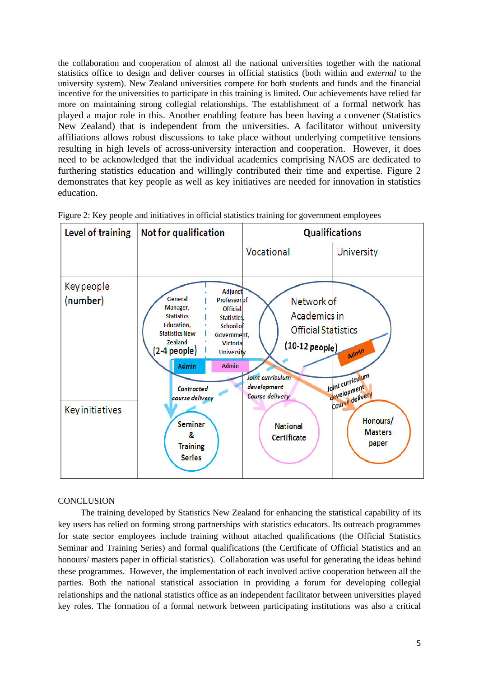the collaboration and cooperation of almost all the national universities together with the national statistics office to design and deliver courses in official statistics (both within and *external* to the university system). New Zealand universities compete for both students and funds and the financial incentive for the universities to participate in this training is limited. Our achievements have relied far more on maintaining strong collegial relationships. The establishment of a formal network has played a major role in this. Another enabling feature has been having a convener (Statistics New Zealand) that is independent from the universities. A facilitator without university affiliations allows robust discussions to take place without underlying competitive tensions resulting in high levels of across-university interaction and cooperation. However, it does need to be acknowledged that the individual academics comprising NAOS are dedicated to furthering statistics education and willingly contributed their time and expertise. Figure 2 demonstrates that key people as well as key initiatives are needed for innovation in statistics education.

| Level of training                                       | <b>Not for qualification</b>                                                                                                                                                                                                                                                                                                                       | <b>Qualifications</b>                                                                                                                                                |                                                                                                    |
|---------------------------------------------------------|----------------------------------------------------------------------------------------------------------------------------------------------------------------------------------------------------------------------------------------------------------------------------------------------------------------------------------------------------|----------------------------------------------------------------------------------------------------------------------------------------------------------------------|----------------------------------------------------------------------------------------------------|
|                                                         |                                                                                                                                                                                                                                                                                                                                                    | Vocational                                                                                                                                                           | University                                                                                         |
| <b>Key people</b><br>(number)<br><b>Key initiatives</b> | Adjunct<br>General<br>Professorlof<br>Manager,<br><b>Official</b><br><b>Statistics</b><br>Statistics.<br>Education.<br>School of<br><b>Statistics New</b><br>Government,<br>Zealand<br><b>Victoria</b><br>(2-4 people)<br><b>University</b><br>Admin<br><b>Admin</b><br>Contracted<br>course delivery<br>Seminar<br>&<br><b>Training</b><br>Series | Network of<br>Academics in<br><b>Official Statistics</b><br>$(10-12$ people)<br>Joint curriculum<br>development<br>Course delivery<br><b>National</b><br>Certificate | Admin<br>Joint curriculum<br>development<br>course delivery<br>Honours/<br><b>Masters</b><br>paper |

Figure 2: Key people and initiatives in official statistics training for government employees

## **CONCLUSION**

The training developed by Statistics New Zealand for enhancing the statistical capability of its key users has relied on forming strong partnerships with statistics educators. Its outreach programmes for state sector employees include training without attached qualifications (the Official Statistics Seminar and Training Series) and formal qualifications (the Certificate of Official Statistics and an honours/ masters paper in official statistics). Collaboration was useful for generating the ideas behind these programmes. However, the implementation of each involved active cooperation between all the parties. Both the national statistical association in providing a forum for developing collegial relationships and the national statistics office as an independent facilitator between universities played key roles. The formation of a formal network between participating institutions was also a critical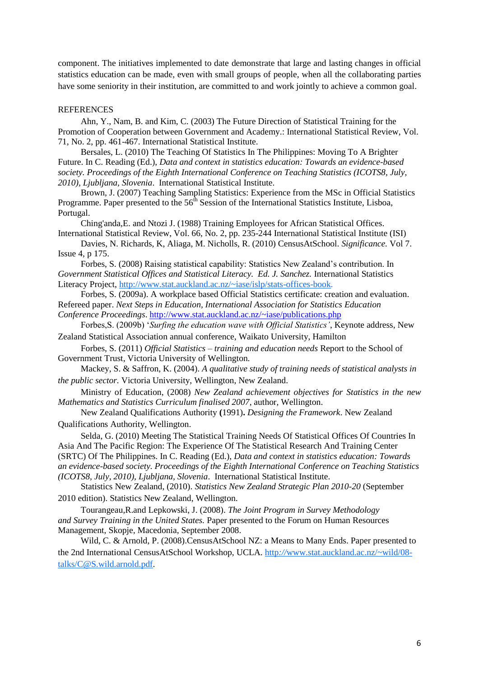component. The initiatives implemented to date demonstrate that large and lasting changes in official statistics education can be made, even with small groups of people, when all the collaborating parties have some seniority in their institution, are committed to and work jointly to achieve a common goal.

#### REFERENCES

Ahn, Y., Nam, B. and Kim, C. (2003) The Future Direction of Statistical Training for the Promotion of Cooperation between Government and Academy.: International Statistical Review, Vol. 71, No. 2, pp. 461-467. International Statistical Institute.

Bersales, L. (2010) The Teaching Of Statistics In The Philippines: Moving To A Brighter Future. In C. Reading (Ed.), *Data and context in statistics education: Towards an evidence-based society. Proceedings of the Eighth International Conference on Teaching Statistics (ICOTS8, July, 2010), Ljubljana, Slovenia*. International Statistical Institute.

Brown, J. (2007) Teaching Sampling Statistics: Experience from the MSc in Official Statistics Programme. Paper presented to the  $56<sup>th</sup>$  Session of the International Statistics Institute, Lisboa, Portugal.

Ching'anda,E. and Ntozi J. (1988) Training Employees for African Statistical Offices. International Statistical Review, Vol. 66, No. 2, pp. 235-244 International Statistical Institute (ISI)

Davies, N. Richards, K, Aliaga, M. Nicholls, R. (2010) CensusAtSchool. *Significance.* Vol 7. Issue 4, p 175.

Forbes, S. (2008) Raising statistical capability: Statistics New Zealand"s contribution. In *Government Statistical Offices and Statistical Literacy. Ed. J. Sanchez.* International Statistics Literacy Project, [http://www.stat.auckland.ac.nz/~iase/islp/stats-offices-book.](http://www.stat.auckland.ac.nz/~iase/islp/stats-offices-book)

Forbes, S. (2009a). A workplace based Official Statistics certificate: creation and evaluation. Refereed paper. *Next Steps in Education, International Association for Statistics Education Conference Proceedings*.<http://www.stat.auckland.ac.nz/~iase/publications.php>

Forbes,S. (2009b) "*Surfing the education wave with Official Statistics'*, Keynote address, New Zealand Statistical Association annual conference, Waikato University, Hamilton

Forbes, S. (2011) *Official Statistics – training and education needs* Report to the School of Government Trust, Victoria University of Wellington.

Mackey, S. & Saffron, K. (2004). *A qualitative study of training needs of statistical analysts in the public sector.* Victoria University, Wellington, New Zealand.

Ministry of Education, (2008) *New Zealand achievement objectives for Statistics in the new Mathematics and Statistics Curriculum finalised 2007*, author, Wellington.

New Zealand Qualifications Authority **(**1991)**.** *Designing the Framework*. New Zealand Qualifications Authority, Wellington.

Selda, G. (2010) Meeting The Statistical Training Needs Of Statistical Offices Of Countries In Asia And The Pacific Region: The Experience Of The Statistical Research And Training Center (SRTC) Of The Philippines. In C. Reading (Ed.), *Data and context in statistics education: Towards an evidence-based society. Proceedings of the Eighth International Conference on Teaching Statistics (ICOTS8, July, 2010), Ljubljana, Slovenia*. International Statistical Institute.

Statistics New Zealand, (2010). *Statistics New Zealand Strategic Plan 2010-20* (September 2010 edition). Statistics New Zealand, Wellington.

Tourangeau,R.and Lepkowski, J. (2008). *The Joint Program in Survey Methodology and Survey Training in the United States.* Paper presented to the Forum on Human Resources Management, Skopje, Macedonia, September 2008.

Wild, C. & Arnold, P. (2008).CensusAtSchool NZ: a Means to Many Ends. Paper presented to the 2nd International CensusAtSchool Workshop, UCLA. http*://*www.stat.auckland.ac.nz/~wild/08 talks/C@S.wild.arnold.pdf.